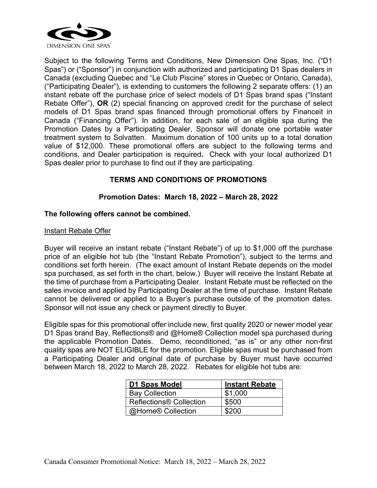

Subject to the following Terms and Conditions, New Dimension One Spas, Inc. ("D1 Spas") or ("Sponsor") in conjunction with authorized and participating D1 Spas dealers in Canada (excluding Quebec and "Le Club Piscine" stores in Quebec or Ontario, Canada), ("Participating Dealer"), is extending to customers the following 2 separate offers: (1) an instant rebate off the purchase price of select models of D1 Spas brand spas ("Instant Rebate Offer"), **OR** (2) special financing on approved credit for the purchase of select models of D1 Spas brand spas financed through promotional offers by Financeit in Canada ("Financing Offer"). In addition, for each sale of an eligible spa during the Promotion Dates by a Participating Dealer, Sponsor will donate one portable water treatment system to Solvatten. Maximum donation of 100 units up to a total donation value of \$12,000. These promotional offers are subject to the following terms and conditions, and Dealer participation is required**.** Check with your local authorized D1 Spas dealer prior to purchase to find out if they are participating.

# **TERMS AND CONDITIONS OF PROMOTIONS**

# **Promotion Dates: March 18, 2022 – March 28, 2022**

## **The following offers cannot be combined.**

#### Instant Rebate Offer

Buyer will receive an instant rebate ("Instant Rebate") of up to \$1,000 off the purchase price of an eligible hot tub (the "Instant Rebate Promotion"), subject to the terms and conditions set forth herein. (The exact amount of Instant Rebate depends on the model spa purchased, as set forth in the chart, below.) Buyer will receive the Instant Rebate at the time of purchase from a Participating Dealer. Instant Rebate must be reflected on the sales invoice and applied by Participating Dealer at the time of purchase. Instant Rebate cannot be delivered or applied to a Buyer's purchase outside of the promotion dates. Sponsor will not issue any check or payment directly to Buyer.

Eligible spas for this promotional offer include new, first quality 2020 or newer model year D1 Spas brand Bay, Reflections® and @Home® Collection model spa purchased during the applicable Promotion Dates. Demo, reconditioned, "as is" or any other non-first quality spas are NOT ELIGIBLE for the promotion. Eligible spas must be purchased from a Participating Dealer and original date of purchase by Buyer must have occurred between March 18, 2022 to March 28, 2022. Rebates for eligible hot tubs are:

| D1 Spas Model                  | <b>Instant Rebate</b> |
|--------------------------------|-----------------------|
| <b>Bay Collection</b>          | \$1,000               |
| <b>Reflections® Collection</b> | \$500                 |
| @Home® Collection              | \$200                 |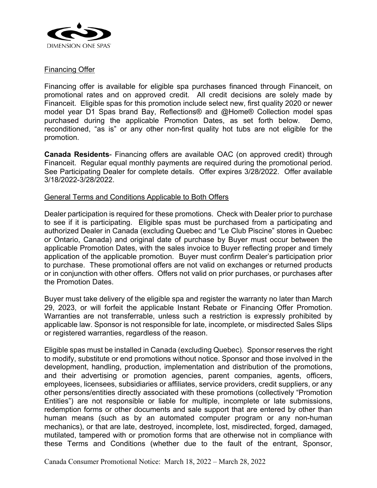

### Financing Offer

Financing offer is available for eligible spa purchases financed through Financeit, on promotional rates and on approved credit. All credit decisions are solely made by Financeit. Eligible spas for this promotion include select new, first quality 2020 or newer model year D1 Spas brand Bay, Reflections® and @Home® Collection model spas purchased during the applicable Promotion Dates, as set forth below. Demo, reconditioned, "as is" or any other non-first quality hot tubs are not eligible for the promotion.

**Canada Residents**- Financing offers are available OAC (on approved credit) through Financeit. Regular equal monthly payments are required during the promotional period. See Participating Dealer for complete details. Offer expires 3/28/2022. Offer available 3/18/2022-3/28/2022.

#### General Terms and Conditions Applicable to Both Offers

Dealer participation is required for these promotions. Check with Dealer prior to purchase to see if it is participating. Eligible spas must be purchased from a participating and authorized Dealer in Canada (excluding Quebec and "Le Club Piscine" stores in Quebec or Ontario, Canada) and original date of purchase by Buyer must occur between the applicable Promotion Dates, with the sales invoice to Buyer reflecting proper and timely application of the applicable promotion. Buyer must confirm Dealer's participation prior to purchase. These promotional offers are not valid on exchanges or returned products or in conjunction with other offers. Offers not valid on prior purchases, or purchases after the Promotion Dates.

Buyer must take delivery of the eligible spa and register the warranty no later than March 29, 2023, or will forfeit the applicable Instant Rebate or Financing Offer Promotion. Warranties are not transferrable, unless such a restriction is expressly prohibited by applicable law. Sponsor is not responsible for late, incomplete, or misdirected Sales Slips or registered warranties, regardless of the reason.

Eligible spas must be installed in Canada (excluding Quebec). Sponsor reserves the right to modify, substitute or end promotions without notice. Sponsor and those involved in the development, handling, production, implementation and distribution of the promotions, and their advertising or promotion agencies, parent companies, agents, officers, employees, licensees, subsidiaries or affiliates, service providers, credit suppliers, or any other persons/entities directly associated with these promotions (collectively "Promotion Entities") are not responsible or liable for multiple, incomplete or late submissions, redemption forms or other documents and sale support that are entered by other than human means (such as by an automated computer program or any non-human mechanics), or that are late, destroyed, incomplete, lost, misdirected, forged, damaged, mutilated, tampered with or promotion forms that are otherwise not in compliance with these Terms and Conditions (whether due to the fault of the entrant, Sponsor,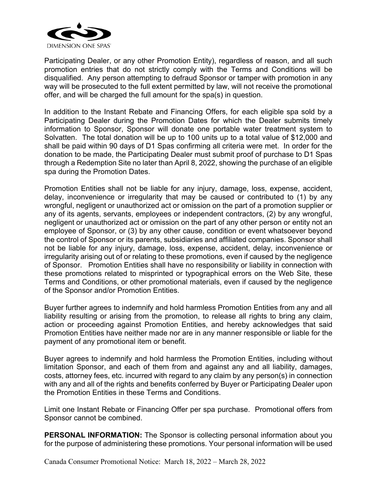

Participating Dealer, or any other Promotion Entity), regardless of reason, and all such promotion entries that do not strictly comply with the Terms and Conditions will be disqualified. Any person attempting to defraud Sponsor or tamper with promotion in any way will be prosecuted to the full extent permitted by law, will not receive the promotional offer, and will be charged the full amount for the spa(s) in question.

In addition to the Instant Rebate and Financing Offers, for each eligible spa sold by a Participating Dealer during the Promotion Dates for which the Dealer submits timely information to Sponsor, Sponsor will donate one portable water treatment system to Solvatten. The total donation will be up to 100 units up to a total value of \$12,000 and shall be paid within 90 days of D1 Spas confirming all criteria were met. In order for the donation to be made, the Participating Dealer must submit proof of purchase to D1 Spas through a Redemption Site no later than April 8, 2022, showing the purchase of an eligible spa during the Promotion Dates.

Promotion Entities shall not be liable for any injury, damage, loss, expense, accident, delay, inconvenience or irregularity that may be caused or contributed to (1) by any wrongful, negligent or unauthorized act or omission on the part of a promotion supplier or any of its agents, servants, employees or independent contractors, (2) by any wrongful, negligent or unauthorized act or omission on the part of any other person or entity not an employee of Sponsor, or (3) by any other cause, condition or event whatsoever beyond the control of Sponsor or its parents, subsidiaries and affiliated companies. Sponsor shall not be liable for any injury, damage, loss, expense, accident, delay, inconvenience or irregularity arising out of or relating to these promotions, even if caused by the negligence of Sponsor. Promotion Entities shall have no responsibility or liability in connection with these promotions related to misprinted or typographical errors on the Web Site, these Terms and Conditions, or other promotional materials, even if caused by the negligence of the Sponsor and/or Promotion Entities.

Buyer further agrees to indemnify and hold harmless Promotion Entities from any and all liability resulting or arising from the promotion, to release all rights to bring any claim, action or proceeding against Promotion Entities, and hereby acknowledges that said Promotion Entities have neither made nor are in any manner responsible or liable for the payment of any promotional item or benefit.

Buyer agrees to indemnify and hold harmless the Promotion Entities, including without limitation Sponsor, and each of them from and against any and all liability, damages, costs, attorney fees, etc. incurred with regard to any claim by any person(s) in connection with any and all of the rights and benefits conferred by Buyer or Participating Dealer upon the Promotion Entities in these Terms and Conditions.

Limit one Instant Rebate or Financing Offer per spa purchase. Promotional offers from Sponsor cannot be combined.

**PERSONAL INFORMATION:** The Sponsor is collecting personal information about you for the purpose of administering these promotions. Your personal information will be used